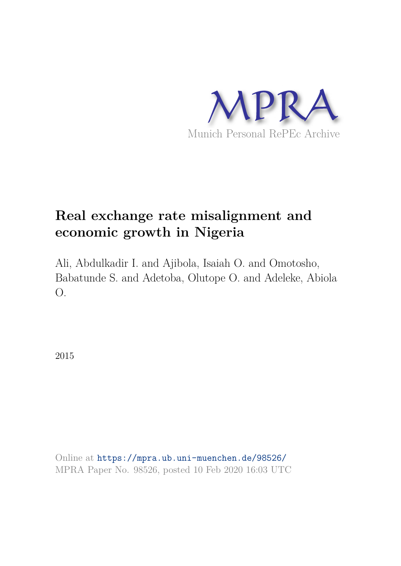

# **Real exchange rate misalignment and economic growth in Nigeria**

Ali, Abdulkadir I. and Ajibola, Isaiah O. and Omotosho, Babatunde S. and Adetoba, Olutope O. and Adeleke, Abiola O.

2015

Online at https://mpra.ub.uni-muenchen.de/98526/ MPRA Paper No. 98526, posted 10 Feb 2020 16:03 UTC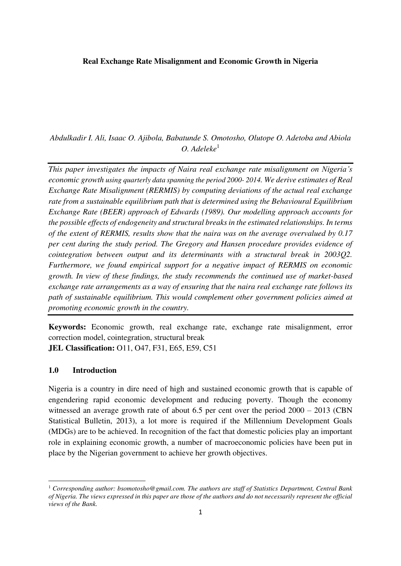## **Real Exchange Rate Misalignment and Economic Growth in Nigeria**

*Abdulkadir I. Ali, Isaac O. Ajibola, Babatunde S. Omotosho, Olutope O. Adetoba and Abiola O. Adeleke*<sup>1</sup>

*This paper investigates the impacts of Naira real exchange rate misalignment on Nigeria's economic growth using quarterly data spanning the period 2000- 2014. We derive estimates of Real Exchange Rate Misalignment (RERMIS) by computing deviations of the actual real exchange rate from a sustainable equilibrium path that is determined using the Behavioural Equilibrium Exchange Rate (BEER) approach of Edwards (1989). Our modelling approach accounts for the possible effects of endogeneity and structural breaks in the estimated relationships. In terms of the extent of RERMIS, results show that the naira was on the average overvalued by 0.17 per cent during the study period. The Gregory and Hansen procedure provides evidence of cointegration between output and its determinants with a structural break in 2003Q2. Furthermore, we found empirical support for a negative impact of RERMIS on economic growth. In view of these findings, the study recommends the continued use of market-based exchange rate arrangements as a way of ensuring that the naira real exchange rate follows its path of sustainable equilibrium. This would complement other government policies aimed at promoting economic growth in the country.* 

**Keywords:** Economic growth, real exchange rate, exchange rate misalignment, error correction model, cointegration, structural break **JEL Classification:** O11, O47, F31, E65, E59, C51

#### **1.0 Introduction**

Nigeria is a country in dire need of high and sustained economic growth that is capable of engendering rapid economic development and reducing poverty. Though the economy witnessed an average growth rate of about 6.5 per cent over the period  $2000 - 2013$  (CBN Statistical Bulletin, 2013), a lot more is required if the Millennium Development Goals (MDGs) are to be achieved. In recognition of the fact that domestic policies play an important role in explaining economic growth, a number of macroeconomic policies have been put in place by the Nigerian government to achieve her growth objectives.

<sup>1</sup> *Corresponding author: bsomotosho@gmail.com. The authors are staff of Statistics Department, Central Bank of Nigeria. The views expressed in this paper are those of the authors and do not necessarily represent the official views of the Bank.*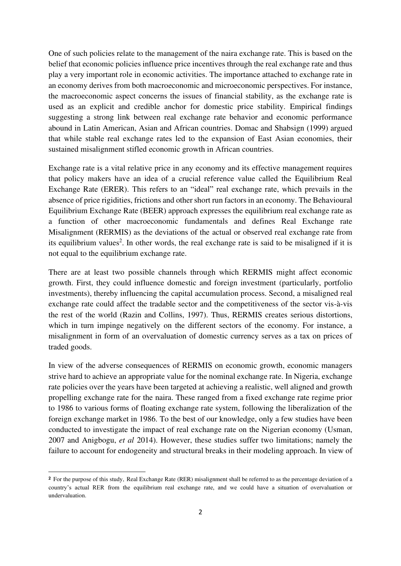One of such policies relate to the management of the naira exchange rate. This is based on the belief that economic policies influence price incentives through the real exchange rate and thus play a very important role in economic activities. The importance attached to exchange rate in an economy derives from both macroeconomic and microeconomic perspectives. For instance, the macroeconomic aspect concerns the issues of financial stability, as the exchange rate is used as an explicit and credible anchor for domestic price stability. Empirical findings suggesting a strong link between real exchange rate behavior and economic performance abound in Latin American, Asian and African countries. Domac and Shabsign (1999) argued that while stable real exchange rates led to the expansion of East Asian economies, their sustained misalignment stifled economic growth in African countries.

Exchange rate is a vital relative price in any economy and its effective management requires that policy makers have an idea of a crucial reference value called the Equilibrium Real Exchange Rate (ERER). This refers to an "ideal" real exchange rate, which prevails in the absence of price rigidities, frictions and other short run factors in an economy. The Behavioural Equilibrium Exchange Rate (BEER) approach expresses the equilibrium real exchange rate as a function of other macroeconomic fundamentals and defines Real Exchange rate Misalignment (RERMIS) as the deviations of the actual or observed real exchange rate from its equilibrium values<sup>2</sup>. In other words, the real exchange rate is said to be misaligned if it is not equal to the equilibrium exchange rate.

There are at least two possible channels through which RERMIS might affect economic growth. First, they could influence domestic and foreign investment (particularly, portfolio investments), thereby influencing the capital accumulation process. Second, a misaligned real exchange rate could affect the tradable sector and the competitiveness of the sector vis-à-vis the rest of the world (Razin and Collins, 1997). Thus, RERMIS creates serious distortions, which in turn impinge negatively on the different sectors of the economy. For instance, a misalignment in form of an overvaluation of domestic currency serves as a tax on prices of traded goods.

In view of the adverse consequences of RERMIS on economic growth, economic managers strive hard to achieve an appropriate value for the nominal exchange rate. In Nigeria, exchange rate policies over the years have been targeted at achieving a realistic, well aligned and growth propelling exchange rate for the naira. These ranged from a fixed exchange rate regime prior to 1986 to various forms of floating exchange rate system, following the liberalization of the foreign exchange market in 1986. To the best of our knowledge, only a few studies have been conducted to investigate the impact of real exchange rate on the Nigerian economy (Usman, 2007 and Anigbogu, *et al* 2014). However, these studies suffer two limitations; namely the failure to account for endogeneity and structural breaks in their modeling approach. In view of

**<sup>2</sup>** For the purpose of this study, Real Exchange Rate (RER) misalignment shall be referred to as the percentage deviation of a country's actual RER from the equilibrium real exchange rate, and we could have a situation of overvaluation or undervaluation.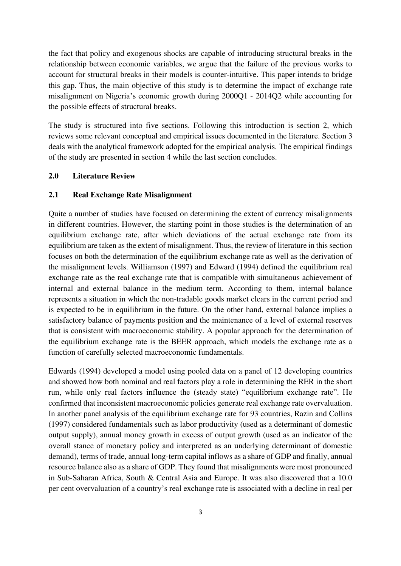the fact that policy and exogenous shocks are capable of introducing structural breaks in the relationship between economic variables, we argue that the failure of the previous works to account for structural breaks in their models is counter-intuitive. This paper intends to bridge this gap. Thus, the main objective of this study is to determine the impact of exchange rate misalignment on Nigeria's economic growth during 2000Q1 - 2014Q2 while accounting for the possible effects of structural breaks.

The study is structured into five sections. Following this introduction is section 2, which reviews some relevant conceptual and empirical issues documented in the literature. Section 3 deals with the analytical framework adopted for the empirical analysis. The empirical findings of the study are presented in section 4 while the last section concludes.

## **2.0 Literature Review**

## **2.1 Real Exchange Rate Misalignment**

Quite a number of studies have focused on determining the extent of currency misalignments in different countries. However, the starting point in those studies is the determination of an equilibrium exchange rate, after which deviations of the actual exchange rate from its equilibrium are taken as the extent of misalignment. Thus, the review of literature in this section focuses on both the determination of the equilibrium exchange rate as well as the derivation of the misalignment levels. Williamson (1997) and Edward (1994) defined the equilibrium real exchange rate as the real exchange rate that is compatible with simultaneous achievement of internal and external balance in the medium term. According to them, internal balance represents a situation in which the non-tradable goods market clears in the current period and is expected to be in equilibrium in the future. On the other hand, external balance implies a satisfactory balance of payments position and the maintenance of a level of external reserves that is consistent with macroeconomic stability. A popular approach for the determination of the equilibrium exchange rate is the BEER approach, which models the exchange rate as a function of carefully selected macroeconomic fundamentals.

Edwards (1994) developed a model using pooled data on a panel of 12 developing countries and showed how both nominal and real factors play a role in determining the RER in the short run, while only real factors influence the (steady state) "equilibrium exchange rate". He confirmed that inconsistent macroeconomic policies generate real exchange rate overvaluation. In another panel analysis of the equilibrium exchange rate for 93 countries, Razin and Collins (1997) considered fundamentals such as labor productivity (used as a determinant of domestic output supply), annual money growth in excess of output growth (used as an indicator of the overall stance of monetary policy and interpreted as an underlying determinant of domestic demand), terms of trade, annual long-term capital inflows as a share of GDP and finally, annual resource balance also as a share of GDP. They found that misalignments were most pronounced in Sub-Saharan Africa, South & Central Asia and Europe. It was also discovered that a 10.0 per cent overvaluation of a country's real exchange rate is associated with a decline in real per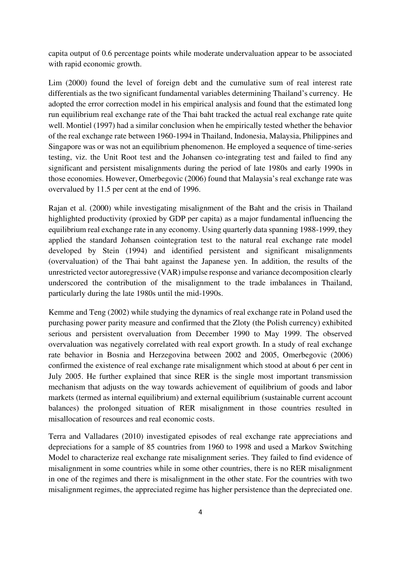capita output of 0.6 percentage points while moderate undervaluation appear to be associated with rapid economic growth.

Lim (2000) found the level of foreign debt and the cumulative sum of real interest rate differentials as the two significant fundamental variables determining Thailand's currency. He adopted the error correction model in his empirical analysis and found that the estimated long run equilibrium real exchange rate of the Thai baht tracked the actual real exchange rate quite well. Montiel (1997) had a similar conclusion when he empirically tested whether the behavior of the real exchange rate between 1960-1994 in Thailand, Indonesia, Malaysia, Philippines and Singapore was or was not an equilibrium phenomenon. He employed a sequence of time-series testing, viz. the Unit Root test and the Johansen co-integrating test and failed to find any significant and persistent misalignments during the period of late 1980s and early 1990s in those economies. However, Omerbegovic (2006) found that Malaysia's real exchange rate was overvalued by 11.5 per cent at the end of 1996.

Rajan et al. (2000) while investigating misalignment of the Baht and the crisis in Thailand highlighted productivity (proxied by GDP per capita) as a major fundamental influencing the equilibrium real exchange rate in any economy. Using quarterly data spanning 1988-1999, they applied the standard Johansen cointegration test to the natural real exchange rate model developed by Stein (1994) and identified persistent and significant misalignments (overvaluation) of the Thai baht against the Japanese yen. In addition, the results of the unrestricted vector autoregressive (VAR) impulse response and variance decomposition clearly underscored the contribution of the misalignment to the trade imbalances in Thailand, particularly during the late 1980s until the mid-1990s.

Kemme and Teng (2002) while studying the dynamics of real exchange rate in Poland used the purchasing power parity measure and confirmed that the Zloty (the Polish currency) exhibited serious and persistent overvaluation from December 1990 to May 1999. The observed overvaluation was negatively correlated with real export growth. In a study of real exchange rate behavior in Bosnia and Herzegovina between 2002 and 2005, Omerbegovic (2006) confirmed the existence of real exchange rate misalignment which stood at about 6 per cent in July 2005. He further explained that since RER is the single most important transmission mechanism that adjusts on the way towards achievement of equilibrium of goods and labor markets (termed as internal equilibrium) and external equilibrium (sustainable current account balances) the prolonged situation of RER misalignment in those countries resulted in misallocation of resources and real economic costs.

Terra and Valladares (2010) investigated episodes of real exchange rate appreciations and depreciations for a sample of 85 countries from 1960 to 1998 and used a Markov Switching Model to characterize real exchange rate misalignment series. They failed to find evidence of misalignment in some countries while in some other countries, there is no RER misalignment in one of the regimes and there is misalignment in the other state. For the countries with two misalignment regimes, the appreciated regime has higher persistence than the depreciated one.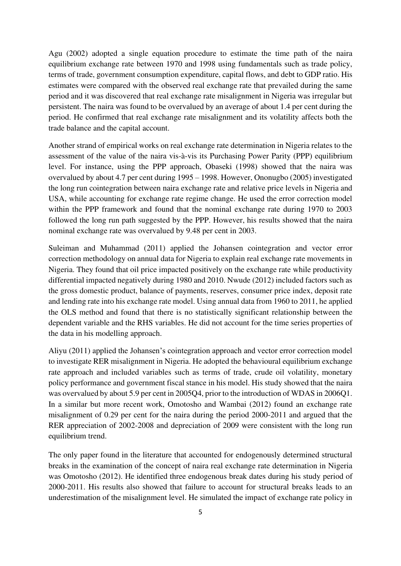Agu (2002) adopted a single equation procedure to estimate the time path of the naira equilibrium exchange rate between 1970 and 1998 using fundamentals such as trade policy, terms of trade, government consumption expenditure, capital flows, and debt to GDP ratio. His estimates were compared with the observed real exchange rate that prevailed during the same period and it was discovered that real exchange rate misalignment in Nigeria was irregular but persistent. The naira was found to be overvalued by an average of about 1.4 per cent during the period. He confirmed that real exchange rate misalignment and its volatility affects both the trade balance and the capital account.

Another strand of empirical works on real exchange rate determination in Nigeria relates to the assessment of the value of the naira vis-à-vis its Purchasing Power Parity (PPP) equilibrium level. For instance, using the PPP approach, Obaseki (1998) showed that the naira was overvalued by about 4.7 per cent during 1995 – 1998. However, Ononugbo (2005) investigated the long run cointegration between naira exchange rate and relative price levels in Nigeria and USA, while accounting for exchange rate regime change. He used the error correction model within the PPP framework and found that the nominal exchange rate during 1970 to 2003 followed the long run path suggested by the PPP. However, his results showed that the naira nominal exchange rate was overvalued by 9.48 per cent in 2003.

Suleiman and Muhammad (2011) applied the Johansen cointegration and vector error correction methodology on annual data for Nigeria to explain real exchange rate movements in Nigeria. They found that oil price impacted positively on the exchange rate while productivity differential impacted negatively during 1980 and 2010. Nwude (2012) included factors such as the gross domestic product, balance of payments, reserves, consumer price index, deposit rate and lending rate into his exchange rate model. Using annual data from 1960 to 2011, he applied the OLS method and found that there is no statistically significant relationship between the dependent variable and the RHS variables. He did not account for the time series properties of the data in his modelling approach.

Aliyu (2011) applied the Johansen's cointegration approach and vector error correction model to investigate RER misalignment in Nigeria. He adopted the behavioural equilibrium exchange rate approach and included variables such as terms of trade, crude oil volatility, monetary policy performance and government fiscal stance in his model. His study showed that the naira was overvalued by about 5.9 per cent in 2005Q4, prior to the introduction of WDAS in 2006Q1. In a similar but more recent work, Omotosho and Wambai (2012) found an exchange rate misalignment of 0.29 per cent for the naira during the period 2000-2011 and argued that the RER appreciation of 2002-2008 and depreciation of 2009 were consistent with the long run equilibrium trend.

The only paper found in the literature that accounted for endogenously determined structural breaks in the examination of the concept of naira real exchange rate determination in Nigeria was Omotosho (2012). He identified three endogenous break dates during his study period of 2000-2011. His results also showed that failure to account for structural breaks leads to an underestimation of the misalignment level. He simulated the impact of exchange rate policy in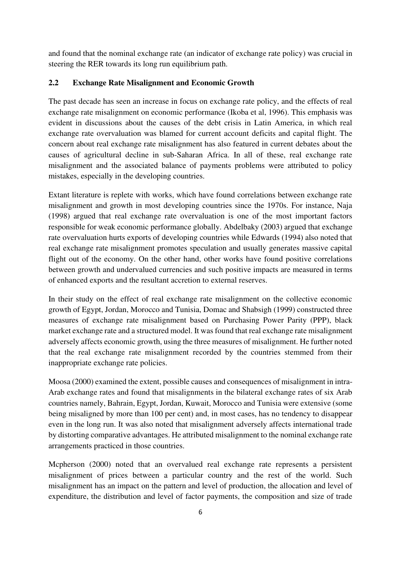and found that the nominal exchange rate (an indicator of exchange rate policy) was crucial in steering the RER towards its long run equilibrium path.

# **2.2 Exchange Rate Misalignment and Economic Growth**

The past decade has seen an increase in focus on exchange rate policy, and the effects of real exchange rate misalignment on economic performance (Ikoba et al, 1996). This emphasis was evident in discussions about the causes of the debt crisis in Latin America, in which real exchange rate overvaluation was blamed for current account deficits and capital flight. The concern about real exchange rate misalignment has also featured in current debates about the causes of agricultural decline in sub-Saharan Africa. In all of these, real exchange rate misalignment and the associated balance of payments problems were attributed to policy mistakes, especially in the developing countries.

Extant literature is replete with works, which have found correlations between exchange rate misalignment and growth in most developing countries since the 1970s. For instance, Naja (1998) argued that real exchange rate overvaluation is one of the most important factors responsible for weak economic performance globally. Abdelbaky (2003) argued that exchange rate overvaluation hurts exports of developing countries while Edwards (1994) also noted that real exchange rate misalignment promotes speculation and usually generates massive capital flight out of the economy. On the other hand, other works have found positive correlations between growth and undervalued currencies and such positive impacts are measured in terms of enhanced exports and the resultant accretion to external reserves.

In their study on the effect of real exchange rate misalignment on the collective economic growth of Egypt, Jordan, Morocco and Tunisia, Domac and Shabsigh (1999) constructed three measures of exchange rate misalignment based on Purchasing Power Parity (PPP), black market exchange rate and a structured model. It was found that real exchange rate misalignment adversely affects economic growth, using the three measures of misalignment. He further noted that the real exchange rate misalignment recorded by the countries stemmed from their inappropriate exchange rate policies.

Moosa (2000) examined the extent, possible causes and consequences of misalignment in intra-Arab exchange rates and found that misalignments in the bilateral exchange rates of six Arab countries namely, Bahrain, Egypt, Jordan, Kuwait, Morocco and Tunisia were extensive (some being misaligned by more than 100 per cent) and, in most cases, has no tendency to disappear even in the long run. It was also noted that misalignment adversely affects international trade by distorting comparative advantages. He attributed misalignment to the nominal exchange rate arrangements practiced in those countries.

Mcpherson (2000) noted that an overvalued real exchange rate represents a persistent misalignment of prices between a particular country and the rest of the world. Such misalignment has an impact on the pattern and level of production, the allocation and level of expenditure, the distribution and level of factor payments, the composition and size of trade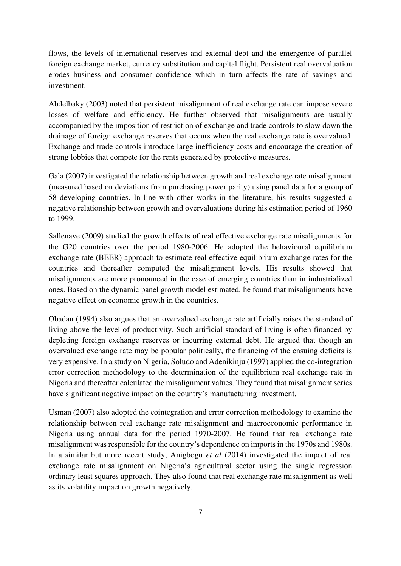flows, the levels of international reserves and external debt and the emergence of parallel foreign exchange market, currency substitution and capital flight. Persistent real overvaluation erodes business and consumer confidence which in turn affects the rate of savings and investment.

Abdelbaky (2003) noted that persistent misalignment of real exchange rate can impose severe losses of welfare and efficiency. He further observed that misalignments are usually accompanied by the imposition of restriction of exchange and trade controls to slow down the drainage of foreign exchange reserves that occurs when the real exchange rate is overvalued. Exchange and trade controls introduce large inefficiency costs and encourage the creation of strong lobbies that compete for the rents generated by protective measures.

Gala (2007) investigated the relationship between growth and real exchange rate misalignment (measured based on deviations from purchasing power parity) using panel data for a group of 58 developing countries. In line with other works in the literature, his results suggested a negative relationship between growth and overvaluations during his estimation period of 1960 to 1999.

Sallenave (2009) studied the growth effects of real effective exchange rate misalignments for the G20 countries over the period 1980-2006. He adopted the behavioural equilibrium exchange rate (BEER) approach to estimate real effective equilibrium exchange rates for the countries and thereafter computed the misalignment levels. His results showed that misalignments are more pronounced in the case of emerging countries than in industrialized ones. Based on the dynamic panel growth model estimated, he found that misalignments have negative effect on economic growth in the countries.

Obadan (1994) also argues that an overvalued exchange rate artificially raises the standard of living above the level of productivity. Such artificial standard of living is often financed by depleting foreign exchange reserves or incurring external debt. He argued that though an overvalued exchange rate may be popular politically, the financing of the ensuing deficits is very expensive. In a study on Nigeria, Soludo and Adenikinju (1997) applied the co-integration error correction methodology to the determination of the equilibrium real exchange rate in Nigeria and thereafter calculated the misalignment values. They found that misalignment series have significant negative impact on the country's manufacturing investment.

Usman (2007) also adopted the cointegration and error correction methodology to examine the relationship between real exchange rate misalignment and macroeconomic performance in Nigeria using annual data for the period 1970-2007. He found that real exchange rate misalignment was responsible for the country's dependence on imports in the 1970s and 1980s. In a similar but more recent study, Anigbogu *et al* (2014) investigated the impact of real exchange rate misalignment on Nigeria's agricultural sector using the single regression ordinary least squares approach. They also found that real exchange rate misalignment as well as its volatility impact on growth negatively.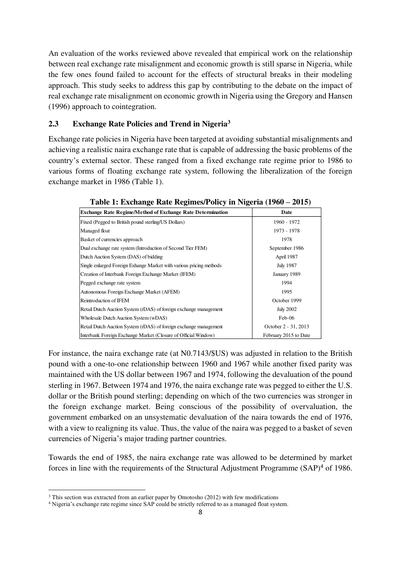An evaluation of the works reviewed above revealed that empirical work on the relationship between real exchange rate misalignment and economic growth is still sparse in Nigeria, while the few ones found failed to account for the effects of structural breaks in their modeling approach. This study seeks to address this gap by contributing to the debate on the impact of real exchange rate misalignment on economic growth in Nigeria using the Gregory and Hansen (1996) approach to cointegration.

# **2.3 Exchange Rate Policies and Trend in Nigeria<sup>3</sup>**

Exchange rate policies in Nigeria have been targeted at avoiding substantial misalignments and achieving a realistic naira exchange rate that is capable of addressing the basic problems of the country's external sector. These ranged from a fixed exchange rate regime prior to 1986 to various forms of floating exchange rate system, following the liberalization of the foreign exchange market in 1986 (Table 1).

| <b>Exchange Rate Regime/Method of Exchange Rate Determination</b>   | Date                  |
|---------------------------------------------------------------------|-----------------------|
| Fixed (Pegged to British pound sterling/US Dollars)                 | 1960 - 1972           |
| Managed float                                                       | 1973 - 1978           |
| Basket of currencies approach                                       | 1978                  |
| Dual exchange rate system (Introduction of Second Tier FEM)         | September 1986        |
| Dutch Auction System (DAS) of bidding                               | April 1987            |
| Single enlarged Foreign Exhange Market with various pricing methods | <b>July 1987</b>      |
| Creation of Interbank Foreign Exchange Market (IFEM)                | January 1989          |
| Pegged exchange rate system                                         | 1994                  |
| Autonomous Foreign Exchange Market (AFEM)                           | 1995                  |
| Reintroduction of IFEM                                              | October 1999          |
| Retail Dutch Auction System (rDAS) of foreign exchange management   | <b>July 2002</b>      |
| Wholesale Dutch Auction System (wDAS)                               | Feb-06                |
| Retail Dutch Auction System (rDAS) of foreign exchange management   | October 2 - 31, 2013  |
| Interbank Foreign Exchange Market (Closure of Official Window)      | February 2015 to Date |

| Table 1: Exchange Rate Regimes/Policy in Nigeria (1960 – 2015) |  |  |
|----------------------------------------------------------------|--|--|
|                                                                |  |  |

For instance, the naira exchange rate (at N0.7143/\$US) was adjusted in relation to the British pound with a one-to-one relationship between 1960 and 1967 while another fixed parity was maintained with the US dollar between 1967 and 1974, following the devaluation of the pound sterling in 1967. Between 1974 and 1976, the naira exchange rate was pegged to either the U.S. dollar or the British pound sterling; depending on which of the two currencies was stronger in the foreign exchange market. Being conscious of the possibility of overvaluation, the government embarked on an unsystematic devaluation of the naira towards the end of 1976, with a view to realigning its value. Thus, the value of the naira was pegged to a basket of seven currencies of Nigeria's major trading partner countries.

Towards the end of 1985, the naira exchange rate was allowed to be determined by market forces in line with the requirements of the Structural Adjustment Programme (SAP)<sup>4</sup> of 1986.

<sup>&</sup>lt;sup>3</sup> This section was extracted from an earlier paper by Omotosho (2012) with few modifications

<sup>&</sup>lt;sup>4</sup> Nigeria's exchange rate regime since SAP could be strictly referred to as a managed float system.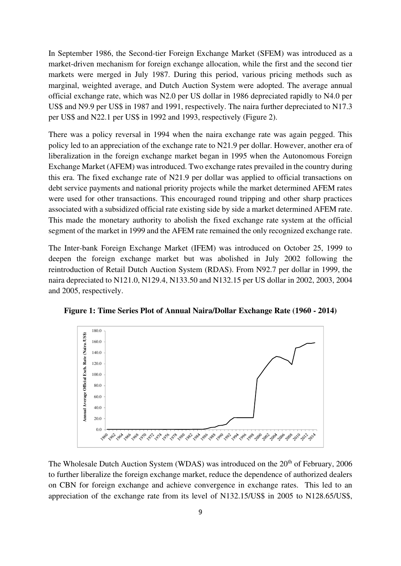In September 1986, the Second-tier Foreign Exchange Market (SFEM) was introduced as a market-driven mechanism for foreign exchange allocation, while the first and the second tier markets were merged in July 1987. During this period, various pricing methods such as marginal, weighted average, and Dutch Auction System were adopted. The average annual official exchange rate, which was N2.0 per US dollar in 1986 depreciated rapidly to N4.0 per US\$ and N9.9 per US\$ in 1987 and 1991, respectively. The naira further depreciated to N17.3 per US\$ and N22.1 per US\$ in 1992 and 1993, respectively (Figure 2).

There was a policy reversal in 1994 when the naira exchange rate was again pegged. This policy led to an appreciation of the exchange rate to N21.9 per dollar. However, another era of liberalization in the foreign exchange market began in 1995 when the Autonomous Foreign Exchange Market (AFEM) was introduced. Two exchange rates prevailed in the country during this era. The fixed exchange rate of N21.9 per dollar was applied to official transactions on debt service payments and national priority projects while the market determined AFEM rates were used for other transactions. This encouraged round tripping and other sharp practices associated with a subsidized official rate existing side by side a market determined AFEM rate. This made the monetary authority to abolish the fixed exchange rate system at the official segment of the market in 1999 and the AFEM rate remained the only recognized exchange rate.

The Inter-bank Foreign Exchange Market (IFEM) was introduced on October 25, 1999 to deepen the foreign exchange market but was abolished in July 2002 following the reintroduction of Retail Dutch Auction System (RDAS). From N92.7 per dollar in 1999, the naira depreciated to N121.0, N129.4, N133.50 and N132.15 per US dollar in 2002, 2003, 2004 and 2005, respectively.



**Figure 1: Time Series Plot of Annual Naira/Dollar Exchange Rate (1960 - 2014)** 

The Wholesale Dutch Auction System (WDAS) was introduced on the 20<sup>th</sup> of February, 2006 to further liberalize the foreign exchange market, reduce the dependence of authorized dealers on CBN for foreign exchange and achieve convergence in exchange rates. This led to an appreciation of the exchange rate from its level of N132.15/US\$ in 2005 to N128.65/US\$,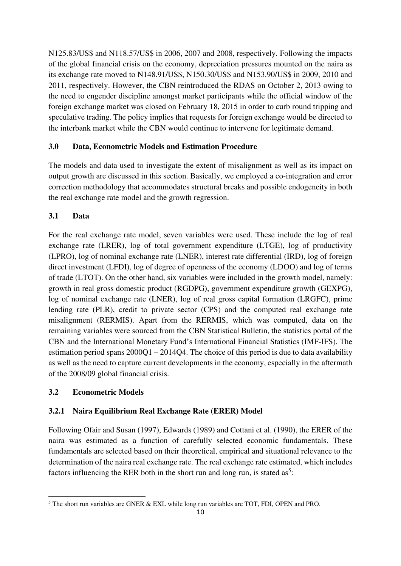N125.83/US\$ and N118.57/US\$ in 2006, 2007 and 2008, respectively. Following the impacts of the global financial crisis on the economy, depreciation pressures mounted on the naira as its exchange rate moved to N148.91/US\$, N150.30/US\$ and N153.90/US\$ in 2009, 2010 and 2011, respectively. However, the CBN reintroduced the RDAS on October 2, 2013 owing to the need to engender discipline amongst market participants while the official window of the foreign exchange market was closed on February 18, 2015 in order to curb round tripping and speculative trading. The policy implies that requests for foreign exchange would be directed to the interbank market while the CBN would continue to intervene for legitimate demand.

# **3.0 Data, Econometric Models and Estimation Procedure**

The models and data used to investigate the extent of misalignment as well as its impact on output growth are discussed in this section. Basically, we employed a co-integration and error correction methodology that accommodates structural breaks and possible endogeneity in both the real exchange rate model and the growth regression.

# **3.1 Data**

For the real exchange rate model, seven variables were used. These include the log of real exchange rate (LRER), log of total government expenditure (LTGE), log of productivity (LPRO), log of nominal exchange rate (LNER), interest rate differential (IRD), log of foreign direct investment (LFDI), log of degree of openness of the economy (LDOO) and log of terms of trade (LTOT). On the other hand, six variables were included in the growth model, namely: growth in real gross domestic product (RGDPG), government expenditure growth (GEXPG), log of nominal exchange rate (LNER), log of real gross capital formation (LRGFC), prime lending rate (PLR), credit to private sector (CPS) and the computed real exchange rate misalignment (RERMIS). Apart from the RERMIS, which was computed, data on the remaining variables were sourced from the CBN Statistical Bulletin, the statistics portal of the CBN and the International Monetary Fund's International Financial Statistics (IMF-IFS). The estimation period spans  $2000Q1 - 2014Q4$ . The choice of this period is due to data availability as well as the need to capture current developments in the economy, especially in the aftermath of the 2008/09 global financial crisis.

# **3.2 Econometric Models**

# **3.2.1 Naira Equilibrium Real Exchange Rate (ERER) Model**

Following Ofair and Susan (1997), Edwards (1989) and Cottani et al. (1990), the ERER of the naira was estimated as a function of carefully selected economic fundamentals. These fundamentals are selected based on their theoretical, empirical and situational relevance to the determination of the naira real exchange rate. The real exchange rate estimated, which includes factors influencing the RER both in the short run and long run, is stated as<sup>5</sup>:

 $<sup>5</sup>$  The short run variables are GNER & EXL while long run variables are TOT, FDI, OPEN and PRO.</sup>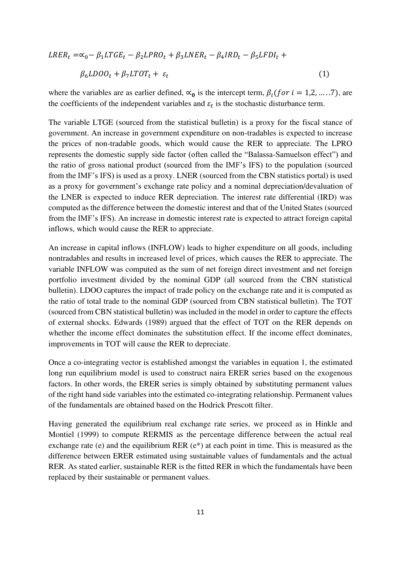$$
LRER_t = \alpha_0 - \beta_1 LTGE_t - \beta_2 LPRO_t + \beta_3 LNER_t - \beta_4 IRD_t - \beta_5 LFDI_t +
$$
  

$$
\beta_6 LDOO_t + \beta_7 LTOT_t + \varepsilon_t
$$
 (1)

where the variables are as earlier defined,  $\alpha_0$  is the intercept term,  $\beta_i$  (for  $i = 1, 2, ..., 7$ ), are the coefficients of the independent variables and  $\varepsilon_t$  is the stochastic disturbance term.

The variable LTGE (sourced from the statistical bulletin) is a proxy for the fiscal stance of government. An increase in government expenditure on non-tradables is expected to increase the prices of non-tradable goods, which would cause the RER to appreciate. The LPRO represents the domestic supply side factor (often called the "Balassa-Samuelson effect") and the ratio of gross national product (sourced from the IMF's IFS) to the population (sourced from the IMF's IFS) is used as a proxy. LNER (sourced from the CBN statistics portal) is used as a proxy for government's exchange rate policy and a nominal depreciation/devaluation of the LNER is expected to induce RER depreciation. The interest rate differential (IRD) was computed as the difference between the domestic interest and that of the United States (sourced from the IMF's IFS). An increase in domestic interest rate is expected to attract foreign capital inflows, which would cause the RER to appreciate.

An increase in capital inflows (INFLOW) leads to higher expenditure on all goods, including nontradables and results in increased level of prices, which causes the RER to appreciate. The variable INFLOW was computed as the sum of net foreign direct investment and net foreign portfolio investment divided by the nominal GDP (all sourced from the CBN statistical bulletin). LDOO captures the impact of trade policy on the exchange rate and it is computed as the ratio of total trade to the nominal GDP (sourced from CBN statistical bulletin). The TOT (sourced from CBN statistical bulletin) was included in the model in order to capture the effects of external shocks. Edwards (1989) argued that the effect of TOT on the RER depends on whether the income effect dominates the substitution effect. If the income effect dominates, improvements in TOT will cause the RER to depreciate.

Once a co-integrating vector is established amongst the variables in equation 1, the estimated long run equilibrium model is used to construct naira ERER series based on the exogenous factors. In other words, the ERER series is simply obtained by substituting permanent values of the right hand side variables into the estimated co-integrating relationship. Permanent values of the fundamentals are obtained based on the Hodrick Prescott filter.

Having generated the equilibrium real exchange rate series, we proceed as in Hinkle and Montiel (1999) to compute RERMIS as the percentage difference between the actual real exchange rate (e) and the equilibrium RER (e\*) at each point in time. This is measured as the difference between ERER estimated using sustainable values of fundamentals and the actual RER. As stated earlier, sustainable RER is the fitted RER in which the fundamentals have been replaced by their sustainable or permanent values.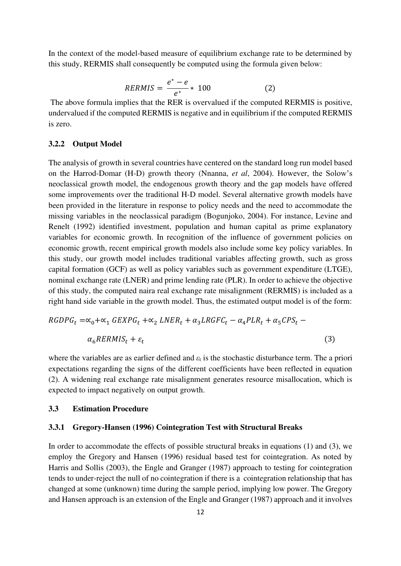In the context of the model-based measure of equilibrium exchange rate to be determined by this study, RERMIS shall consequently be computed using the formula given below:

$$
RERMIS = \frac{e^* - e}{e^*} * 100
$$
 (2)

 The above formula implies that the RER is overvalued if the computed RERMIS is positive, undervalued if the computed RERMIS is negative and in equilibrium if the computed RERMIS is zero.

#### **3.2.2 Output Model**

The analysis of growth in several countries have centered on the standard long run model based on the Harrod-Domar (H-D) growth theory (Nnanna, *et al*, 2004). However, the Solow's neoclassical growth model, the endogenous growth theory and the gap models have offered some improvements over the traditional H-D model. Several alternative growth models have been provided in the literature in response to policy needs and the need to accommodate the missing variables in the neoclassical paradigm (Bogunjoko, 2004). For instance, Levine and Renelt (1992) identified investment, population and human capital as prime explanatory variables for economic growth. In recognition of the influence of government policies on economic growth, recent empirical growth models also include some key policy variables. In this study, our growth model includes traditional variables affecting growth, such as gross capital formation (GCF) as well as policy variables such as government expenditure (LTGE), nominal exchange rate (LNER) and prime lending rate (PLR). In order to achieve the objective of this study, the computed naira real exchange rate misalignment (RERMIS) is included as a right hand side variable in the growth model. Thus, the estimated output model is of the form:

$$
RGDPG_t = \alpha_0 + \alpha_1 GEXPG_t + \alpha_2 LNER_t + \alpha_3 LRGFC_t - \alpha_4PLR_t + \alpha_5 CPS_t - \alpha_6 RERMIS_t + \varepsilon_t
$$
\n
$$
(3)
$$

where the variables are as earlier defined and  $\varepsilon_t$  is the stochastic disturbance term. The a priori expectations regarding the signs of the different coefficients have been reflected in equation (2). A widening real exchange rate misalignment generates resource misallocation, which is expected to impact negatively on output growth.

## **3.3 Estimation Procedure**

#### **3.3.1 Gregory-Hansen (1996) Cointegration Test with Structural Breaks**

In order to accommodate the effects of possible structural breaks in equations (1) and (3), we employ the Gregory and Hansen (1996) residual based test for cointegration. As noted by Harris and Sollis (2003), the Engle and Granger (1987) approach to testing for cointegration tends to under-reject the null of no cointegration if there is a cointegration relationship that has changed at some (unknown) time during the sample period, implying low power. The Gregory and Hansen approach is an extension of the Engle and Granger (1987) approach and it involves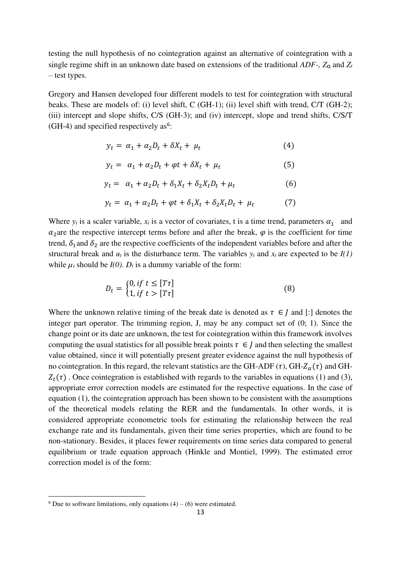testing the null hypothesis of no cointegration against an alternative of cointegration with a single regime shift in an unknown date based on extensions of the traditional  $ADF$ -,  $Z_{\alpha}$  and  $Z_t$ – test types.

Gregory and Hansen developed four different models to test for cointegration with structural beaks. These are models of: (i) level shift, C (GH-1); (ii) level shift with trend, C/T (GH-2); (iii) intercept and slope shifts, C/S (GH-3); and (iv) intercept, slope and trend shifts, C/S/T  $(H-4)$  and specified respectively as<sup>6</sup>:

$$
y_t = \alpha_1 + \alpha_2 D_t + \delta X_t + \mu_t \tag{4}
$$

$$
y_t = \alpha_1 + \alpha_2 D_t + \varphi t + \delta X_t + \mu_t \tag{5}
$$

$$
y_t = \alpha_1 + \alpha_2 D_t + \delta_1 X_t + \delta_2 X_t D_t + \mu_t \tag{6}
$$

$$
y_t = \alpha_1 + \alpha_2 D_t + \varphi t + \delta_1 X_t + \delta_2 X_t D_t + \mu_t \tag{7}
$$

Where  $y_t$  is a scaler variable,  $x_t$  is a vector of covariates, t is a time trend, parameters  $\alpha_1$  and  $\alpha_2$  are the respective intercept terms before and after the break,  $\varphi$  is the coefficient for time trend,  $\delta_1$  and  $\delta_2$  are the respective coefficients of the independent variables before and after the structural break and  $u_t$  is the disturbance term. The variables  $y_t$  and  $x_t$  are expected to be  $I(1)$ while  $\mu_t$  should be  $I(0)$ .  $D_t$  is a dummy variable of the form:

$$
D_t = \begin{cases} 0, & \text{if } t \le [T\tau] \\ 1, & \text{if } t > [T\tau] \end{cases} \tag{8}
$$

Where the unknown relative timing of the break date is denoted as  $\tau \in I$  and [:] denotes the integer part operator. The trimming region, J, may be any compact set of (0; 1). Since the change point or its date are unknown, the test for cointegration within this framework involves computing the usual statistics for all possible break points  $\tau \in I$  and then selecting the smallest value obtained, since it will potentially present greater evidence against the null hypothesis of no cointegration. In this regard, the relevant statistics are the GH-ADF ( $\tau$ ), GH- $Z_{\alpha}(\tau)$  and GH- $Z_t(\tau)$ . Once cointegration is established with regards to the variables in equations (1) and (3), appropriate error correction models are estimated for the respective equations. In the case of equation (1), the cointegration approach has been shown to be consistent with the assumptions of the theoretical models relating the RER and the fundamentals. In other words, it is considered appropriate econometric tools for estimating the relationship between the real exchange rate and its fundamentals, given their time series properties, which are found to be non-stationary. Besides, it places fewer requirements on time series data compared to general equilibrium or trade equation approach (Hinkle and Montiel, 1999). The estimated error correction model is of the form:

 $6$  Due to software limitations, only equations (4) – (6) were estimated.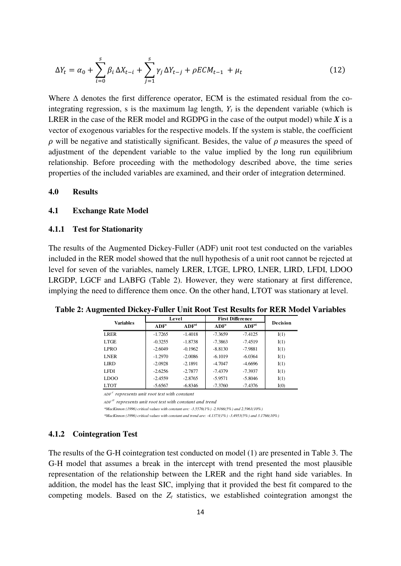$$
\Delta Y_t = \alpha_0 + \sum_{i=0}^s \beta_i \, \Delta X_{t-i} + \sum_{j=1}^s \gamma_j \, \Delta Y_{t-j} + \rho E C M_{t-1} + \mu_t \tag{12}
$$

Where  $\Delta$  denotes the first difference operator, ECM is the estimated residual from the cointegrating regression, s is the maximum lag length,  $Y_t$  is the dependent variable (which is LRER in the case of the RER model and RGDPG in the case of the output model) while  $X$  is a vector of exogenous variables for the respective models. If the system is stable, the coefficient  $\rho$  will be negative and statistically significant. Besides, the value of  $\rho$  measures the speed of adjustment of the dependent variable to the value implied by the long run equilibrium relationship. Before proceeding with the methodology described above, the time series properties of the included variables are examined, and their order of integration determined.

#### **4.0 Results**

## **4.1 Exchange Rate Model**

#### **4.1.1 Test for Stationarity**

The results of the Augmented Dickey-Fuller (ADF) unit root test conducted on the variables included in the RER model showed that the null hypothesis of a unit root cannot be rejected at level for seven of the variables, namely LRER, LTGE, LPRO, LNER, LIRD, LFDI, LDOO LRGDP, LGCF and LABFG (Table 2). However, they were stationary at first difference, implying the need to difference them once. On the other hand, LTOT was stationary at level.

|                  | Level            |                   | <b>First Difference</b> |                   |                 |
|------------------|------------------|-------------------|-------------------------|-------------------|-----------------|
| <b>Variables</b> | ADF <sup>c</sup> | ADF <sup>ct</sup> | ADF <sup>c</sup>        | ADF <sup>ct</sup> | <b>Decision</b> |
| LRER             | $-1.7265$        | $-1.4018$         | $-7.3659$               | $-7.4125$         | I(1)            |
| LTGE             | $-0.3255$        | $-1.8738$         | $-7.3863$               | $-7.4519$         | I(1)            |
| <b>LPRO</b>      | $-2.6049$        | $-0.1962$         | $-8.8130$               | $-7.9881$         | I(1)            |
| <b>LNER</b>      | $-1.2970$        | $-2.0086$         | $-6.1019$               | $-6.0364$         | I(1)            |
| <b>LIRD</b>      | $-2.0928$        | $-2.1891$         | $-4.7047$               | $-4.6696$         | I(1)            |
| <b>LFDI</b>      | $-2.6256$        | $-2.7877$         | $-7.4379$               | $-7.3937$         | I(1)            |
| LDOO             | $-2.4559$        | $-2.8765$         | $-5.9571$               | $-5.8046$         | I(1)            |
| <b>LTOT</b>      | $-5.6567$        | $-6.8346$         | $-7.3760$               | $-7.4376$         | I(0)            |

**Table 2: Augmented Dickey-Fuller Unit Root Test Results for RER Model Variables**

*ADF <sup>c</sup> represents unit root test with constant*

*ADF ct represents unit root test with constant and trend*

*\*MacKinnon (1996) critical values with constant are: -3.5576(1%) -2.9166(5%) and 2.5961(10%)*

*\*MacKinnon (1996) critical values with constant and trend are: -4.1373(1%) -3.4953(5%) and 3.1766(10%)*

#### **4.1.2 Cointegration Test**

The results of the G-H cointegration test conducted on model (1) are presented in Table 3. The G-H model that assumes a break in the intercept with trend presented the most plausible representation of the relationship between the LRER and the right hand side variables. In addition, the model has the least SIC, implying that it provided the best fit compared to the competing models. Based on the *Zt* statistics, we established cointegration amongst the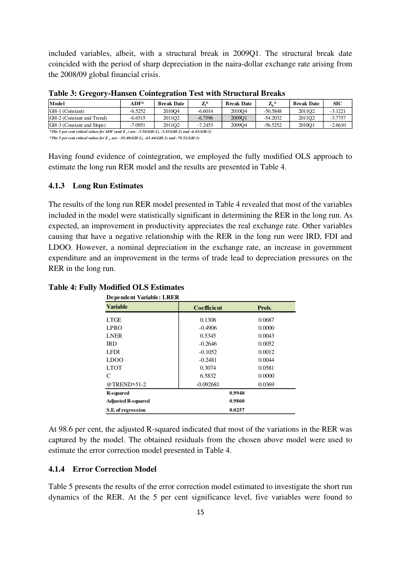included variables, albeit, with a structural break in 2009Q1. The structural break date coincided with the period of sharp depreciation in the naira-dollar exchange rate arising from the 2008/09 global financial crisis.

| Model                                                                                           | $ADF*$    | <b>Break Date</b> | $\mathbf{Z}^*$ | <b>Break Date</b> | $\mathbf{Z}_{a}$ * | <b>Break Date</b>  | <b>SIC</b> |
|-------------------------------------------------------------------------------------------------|-----------|-------------------|----------------|-------------------|--------------------|--------------------|------------|
| GH-1 (Constant)                                                                                 | $-6.5252$ | 201004            | $-6.6014$      | 201004            | $-50.5848$         | 2011O <sub>2</sub> | $-3.1221$  |
| GH-2 (Constant and Trend)                                                                       | -6.6515   | 201102            | $-6.7596$      | 2009O1            | $-54.2032$         | 201102             | $-3.7757$  |
| GH-3 (Constant and Slope)                                                                       | $-7.0951$ | 201102            | $-7.2453$      | 2009O4            | $-56.5252$         | 2010O1             | $-2.6610$  |
| *The 5 per cent critical values for ADF (and Z, ) are: -5.56(GH-1), -5.83(GH-2) and -6.41(GH-3) |           |                   |                |                   |                    |                    |            |

**Table 3: Gregory-Hansen Cointegration Test with Structural Breaks** 

*\*The 5 per cent critical values for Z <sup>α</sup> are: -59.40(GH-1), -65.44(GH-2) and -78.52(GH-3)*

Having found evidence of cointegration, we employed the fully modified OLS approach to estimate the long run RER model and the results are presented in Table 4.

## **4.1.3 Long Run Estimates**

The results of the long run RER model presented in Table 4 revealed that most of the variables included in the model were statistically significant in determining the RER in the long run. As expected, an improvement in productivity appreciates the real exchange rate. Other variables causing that have a negative relationship with the RER in the long run were IRD, FDI and LDOO. However, a nominal depreciation in the exchange rate, an increase in government expenditure and an improvement in the terms of trade lead to depreciation pressures on the RER in the long run.

| <b>Dependent Variable: LRER</b> |             |        |  |  |  |
|---------------------------------|-------------|--------|--|--|--|
| <b>Variable</b>                 | Coefficient | Prob.  |  |  |  |
| <b>LTGE</b>                     | 0.1308      | 0.0687 |  |  |  |
| <b>LPRO</b>                     | $-0.4906$   | 0.0000 |  |  |  |
| <b>LNER</b>                     | 0.5345      | 0.0043 |  |  |  |
| <b>IRD</b>                      | $-0.2646$   | 0.0052 |  |  |  |
| LFDI                            | $-0.1052$   | 0.0012 |  |  |  |
| LDOO                            | $-0.2481$   | 0.0044 |  |  |  |
| <b>LTOT</b>                     | 0.3074      | 0.0581 |  |  |  |
| C                               | 6.5832      | 0.0000 |  |  |  |
| @TREND>51-2                     | $-0.092681$ | 0.0369 |  |  |  |
| <b>R-squared</b>                | 0.9940      |        |  |  |  |
| <b>Adjusted R-squared</b>       | 0.9860      |        |  |  |  |
| S.E. of regression              | 0.0257      |        |  |  |  |

**Table 4: Fully Modified OLS Estimates** 

At 98.6 per cent, the adjusted R-squared indicated that most of the variations in the RER was captured by the model. The obtained residuals from the chosen above model were used to estimate the error correction model presented in Table 4.

## **4.1.4 Error Correction Model**

Table 5 presents the results of the error correction model estimated to investigate the short run dynamics of the RER. At the 5 per cent significance level, five variables were found to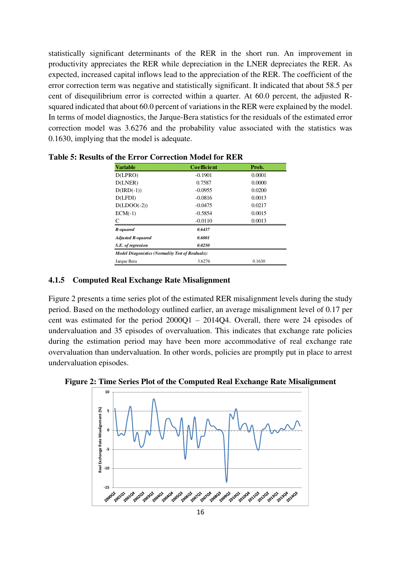statistically significant determinants of the RER in the short run. An improvement in productivity appreciates the RER while depreciation in the LNER depreciates the RER. As expected, increased capital inflows lead to the appreciation of the RER. The coefficient of the error correction term was negative and statistically significant. It indicated that about 58.5 per cent of disequilibrium error is corrected within a quarter. At 60.0 percent, the adjusted Rsquared indicated that about 60.0 percent of variations in the RER were explained by the model. In terms of model diagnostics, the Jarque-Bera statistics for the residuals of the estimated error correction model was 3.6276 and the probability value associated with the statistics was 0.1630, implying that the model is adequate.

| <b>Variable</b>                                         | <b>Coefficient</b> | Prob.  |
|---------------------------------------------------------|--------------------|--------|
| D(LPRO)                                                 | $-0.1901$          | 0.0001 |
| D(LNER)                                                 | 0.7587             | 0.0000 |
| $D(IRD(-1))$                                            | $-0.0955$          | 0.0200 |
| D(LFDI)                                                 | $-0.0816$          | 0.0013 |
| $D(LDOO(-2))$                                           | $-0.0475$          | 0.0217 |
| $ECM(-1)$                                               | $-0.5854$          | 0.0015 |
|                                                         | $-0.0110$          | 0.0013 |
| R-squared                                               | 0.6437             |        |
| <b>Adjusted R-squared</b>                               | 0.6001             |        |
| S.E. of regression                                      | 0.0250             |        |
| <b>Model Diagonistics (Normality Test of Resduals):</b> |                    |        |
| Jarque Bera                                             | 3.6276             | 0.1630 |

**Table 5: Results of the Error Correction Model for RER** 

## **4.1.5 Computed Real Exchange Rate Misalignment**

Figure 2 presents a time series plot of the estimated RER misalignment levels during the study period. Based on the methodology outlined earlier, an average misalignment level of 0.17 per cent was estimated for the period 2000Q1 – 2014Q4. Overall, there were 24 episodes of undervaluation and 35 episodes of overvaluation. This indicates that exchange rate policies during the estimation period may have been more accommodative of real exchange rate overvaluation than undervaluation. In other words, policies are promptly put in place to arrest undervaluation episodes.



**Figure 2: Time Series Plot of the Computed Real Exchange Rate Misalignment**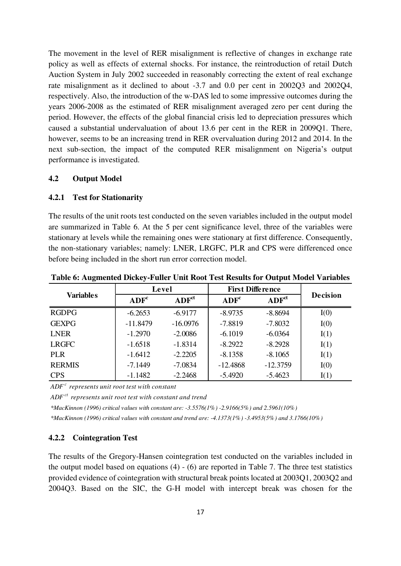The movement in the level of RER misalignment is reflective of changes in exchange rate policy as well as effects of external shocks. For instance, the reintroduction of retail Dutch Auction System in July 2002 succeeded in reasonably correcting the extent of real exchange rate misalignment as it declined to about -3.7 and 0.0 per cent in 2002Q3 and 2002Q4, respectively. Also, the introduction of the w-DAS led to some impressive outcomes during the years 2006-2008 as the estimated of RER misalignment averaged zero per cent during the period. However, the effects of the global financial crisis led to depreciation pressures which caused a substantial undervaluation of about 13.6 per cent in the RER in 2009Q1. There, however, seems to be an increasing trend in RER overvaluation during 2012 and 2014. In the next sub-section, the impact of the computed RER misalignment on Nigeria's output performance is investigated.

## **4.2 Output Model**

## **4.2.1 Test for Stationarity**

The results of the unit roots test conducted on the seven variables included in the output model are summarized in Table 6. At the 5 per cent significance level, three of the variables were stationary at levels while the remaining ones were stationary at first difference. Consequently, the non-stationary variables; namely: LNER, LRGFC, PLR and CPS were differenced once before being included in the short run error correction model.

|                  | Level            |                   | <b>First Difference</b> |                   |                 |
|------------------|------------------|-------------------|-------------------------|-------------------|-----------------|
| <b>Variables</b> | ADF <sup>c</sup> | ADF <sup>ct</sup> | ADF <sup>c</sup>        | ADF <sup>ct</sup> | <b>Decision</b> |
| <b>RGDPG</b>     | $-6.2653$        | $-6.9177$         | $-8.9735$               | $-8.8694$         | I(0)            |
| <b>GEXPG</b>     | $-11.8479$       | $-16.0976$        | $-7.8819$               | $-7.8032$         | I(0)            |
| <b>LNER</b>      | $-1.2970$        | $-2.0086$         | $-6.1019$               | $-6.0364$         | I(1)            |
| <b>LRGFC</b>     | $-1.6518$        | $-1.8314$         | $-8.2922$               | $-8.2928$         | I(1)            |
| <b>PLR</b>       | $-1.6412$        | $-2.2205$         | $-8.1358$               | $-8.1065$         | I(1)            |
| <b>RERMIS</b>    | $-7.1449$        | $-7.0834$         | $-12.4868$              | $-12.3759$        | I(0)            |
| <b>CPS</b>       | $-1.1482$        | $-2.2468$         | $-5.4920$               | $-5.4623$         | I(1)            |

**Table 6: Augmented Dickey-Fuller Unit Root Test Results for Output Model Variables**

*ADF <sup>c</sup> represents unit root test with constant*

*ADF ct represents unit root test with constant and trend*

*\*MacKinnon (1996) critical values with constant are: -3.5576(1%) -2.9166(5%) and 2.5961(10%)*

*\*MacKinnon (1996) critical values with constant and trend are: -4.1373(1%) -3.4953(5%) and 3.1766(10%)*

## **4.2.2 Cointegration Test**

The results of the Gregory-Hansen cointegration test conducted on the variables included in the output model based on equations (4) - (6) are reported in Table 7. The three test statistics provided evidence of cointegration with structural break points located at 2003Q1, 2003Q2 and 2004Q3. Based on the SIC, the G-H model with intercept break was chosen for the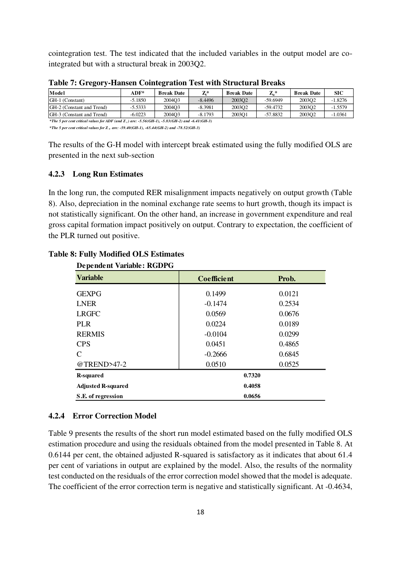cointegration test. The test indicated that the included variables in the output model are cointegrated but with a structural break in 2003Q2.

| Model                                                                                           | $ADF*$    | <b>Break Date</b> | $Z^*$     | <b>Break Date</b> | $\mathbf{Z}_a$ * | <b>Break Date</b> | SIC       |
|-------------------------------------------------------------------------------------------------|-----------|-------------------|-----------|-------------------|------------------|-------------------|-----------|
| GH-1 (Constant)                                                                                 | $-5.1850$ | 2004O3            | $-8.4496$ | 200302            | -59.6949         | 200302            | $-1.8276$ |
| GH-2 (Constant and Trend)                                                                       | $-5.5333$ | 2004O3            | $-8.3981$ | 200302            | $-59.4732$       | 200302            | $-1.5579$ |
| GH-3 (Constant and Trend)                                                                       | $-6.0223$ | 2004O3            | $-8.1793$ | 2003O1            | -57.8832         | 200302            | $-1.0361$ |
| *The 5 per cent critical values for ADF (and Z, ) are: -5.56(GH-1), -5.83(GH-2) and -6.41(GH-3) |           |                   |           |                   |                  |                   |           |

**Table 7: Gregory-Hansen Cointegration Test with Structural Breaks** 

*\*The 5 per cent critical values for Z <sup>α</sup> are: -59.40(GH-1), -65.44(GH-2) and -78.52(GH-3)*

The results of the G-H model with intercept break estimated using the fully modified OLS are presented in the next sub-section

## **4.2.3 Long Run Estimates**

In the long run, the computed RER misalignment impacts negatively on output growth (Table 8). Also, depreciation in the nominal exchange rate seems to hurt growth, though its impact is not statistically significant. On the other hand, an increase in government expenditure and real gross capital formation impact positively on output. Contrary to expectation, the coefficient of the PLR turned out positive.

| Dependent variable: RODI O |                    |        |  |  |  |
|----------------------------|--------------------|--------|--|--|--|
| <b>Variable</b>            | <b>Coefficient</b> | Prob.  |  |  |  |
| <b>GEXPG</b>               | 0.1499             | 0.0121 |  |  |  |
| <b>LNER</b>                | $-0.1474$          | 0.2534 |  |  |  |
| <b>LRGFC</b>               | 0.0569             | 0.0676 |  |  |  |
| <b>PLR</b>                 | 0.0224             | 0.0189 |  |  |  |
| <b>RERMIS</b>              | $-0.0104$          | 0.0299 |  |  |  |
| <b>CPS</b>                 | 0.0451             | 0.4865 |  |  |  |
| $\mathcal{C}$              | $-0.2666$          | 0.6845 |  |  |  |
| @TREND>47-2                | 0.0510             | 0.0525 |  |  |  |
| <b>R-squared</b>           | 0.7320             |        |  |  |  |
| <b>Adjusted R-squared</b>  | 0.4058             |        |  |  |  |
| S.E. of regression         | 0.0656             |        |  |  |  |

# **Table 8: Fully Modified OLS Estimates**

**Dependent Variable: RGDPG**

## **4.2.4 Error Correction Model**

Table 9 presents the results of the short run model estimated based on the fully modified OLS estimation procedure and using the residuals obtained from the model presented in Table 8. At 0.6144 per cent, the obtained adjusted R-squared is satisfactory as it indicates that about 61.4 per cent of variations in output are explained by the model. Also, the results of the normality test conducted on the residuals of the error correction model showed that the model is adequate. The coefficient of the error correction term is negative and statistically significant. At -0.4634,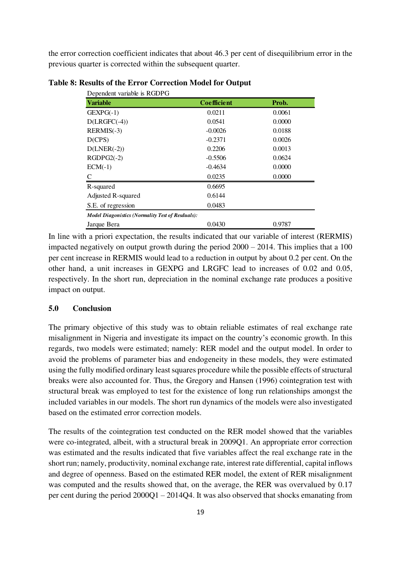the error correction coefficient indicates that about 46.3 per cent of disequilibrium error in the previous quarter is corrected within the subsequent quarter.

| Dependent variable is RGDPG                             |                    |        |
|---------------------------------------------------------|--------------------|--------|
| <b>Variable</b>                                         | <b>Coefficient</b> | Prob.  |
| $GEXPG(-1)$                                             | 0.0211             | 0.0061 |
| $D(LRGFC(-4))$                                          | 0.0541             | 0.0000 |
| $RERMIS(-3)$                                            | $-0.0026$          | 0.0188 |
| D(CPS)                                                  | $-0.2371$          | 0.0026 |
| $D(LNER(-2))$                                           | 0.2206             | 0.0013 |
| $RGDPG2(-2)$                                            | $-0.5506$          | 0.0624 |
| $ECM(-1)$                                               | $-0.4634$          | 0.0000 |
| C                                                       | 0.0235             | 0.0000 |
| R-squared                                               | 0.6695             |        |
| Adjusted R-squared                                      | 0.6144             |        |
| S.E. of regression                                      | 0.0483             |        |
| <b>Model Diagonistics (Normality Test of Resduals):</b> |                    |        |
| Jarque Bera                                             | 0.0430             | 0.9787 |

**Table 8: Results of the Error Correction Model for Output** 

In line with a priori expectation, the results indicated that our variable of interest (RERMIS) impacted negatively on output growth during the period 2000 – 2014. This implies that a 100 per cent increase in RERMIS would lead to a reduction in output by about 0.2 per cent. On the other hand, a unit increases in GEXPG and LRGFC lead to increases of 0.02 and 0.05, respectively. In the short run, depreciation in the nominal exchange rate produces a positive impact on output.

# **5.0 Conclusion**

The primary objective of this study was to obtain reliable estimates of real exchange rate misalignment in Nigeria and investigate its impact on the country's economic growth. In this regards, two models were estimated; namely: RER model and the output model. In order to avoid the problems of parameter bias and endogeneity in these models, they were estimated using the fully modified ordinary least squares procedure while the possible effects of structural breaks were also accounted for. Thus, the Gregory and Hansen (1996) cointegration test with structural break was employed to test for the existence of long run relationships amongst the included variables in our models. The short run dynamics of the models were also investigated based on the estimated error correction models.

The results of the cointegration test conducted on the RER model showed that the variables were co-integrated, albeit, with a structural break in 2009Q1. An appropriate error correction was estimated and the results indicated that five variables affect the real exchange rate in the short run; namely, productivity, nominal exchange rate, interest rate differential, capital inflows and degree of openness. Based on the estimated RER model, the extent of RER misalignment was computed and the results showed that, on the average, the RER was overvalued by 0.17 per cent during the period 2000Q1 – 2014Q4. It was also observed that shocks emanating from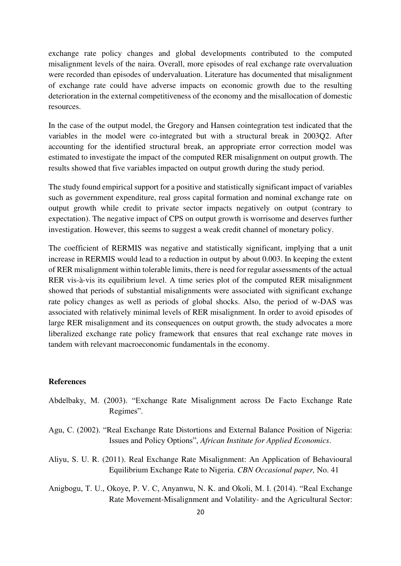exchange rate policy changes and global developments contributed to the computed misalignment levels of the naira. Overall, more episodes of real exchange rate overvaluation were recorded than episodes of undervaluation. Literature has documented that misalignment of exchange rate could have adverse impacts on economic growth due to the resulting deterioration in the external competitiveness of the economy and the misallocation of domestic resources.

In the case of the output model, the Gregory and Hansen cointegration test indicated that the variables in the model were co-integrated but with a structural break in 2003Q2. After accounting for the identified structural break, an appropriate error correction model was estimated to investigate the impact of the computed RER misalignment on output growth. The results showed that five variables impacted on output growth during the study period.

The study found empirical support for a positive and statistically significant impact of variables such as government expenditure, real gross capital formation and nominal exchange rate on output growth while credit to private sector impacts negatively on output (contrary to expectation). The negative impact of CPS on output growth is worrisome and deserves further investigation. However, this seems to suggest a weak credit channel of monetary policy.

The coefficient of RERMIS was negative and statistically significant, implying that a unit increase in RERMIS would lead to a reduction in output by about 0.003. In keeping the extent of RER misalignment within tolerable limits, there is need for regular assessments of the actual RER vis-à-vis its equilibrium level. A time series plot of the computed RER misalignment showed that periods of substantial misalignments were associated with significant exchange rate policy changes as well as periods of global shocks. Also, the period of w-DAS was associated with relatively minimal levels of RER misalignment. In order to avoid episodes of large RER misalignment and its consequences on output growth, the study advocates a more liberalized exchange rate policy framework that ensures that real exchange rate moves in tandem with relevant macroeconomic fundamentals in the economy.

## **References**

- Abdelbaky, M. (2003). "Exchange Rate Misalignment across De Facto Exchange Rate Regimes".
- Agu, C. (2002). "Real Exchange Rate Distortions and External Balance Position of Nigeria: Issues and Policy Options", *African Institute for Applied Economics*.
- Aliyu, S. U. R. (2011). Real Exchange Rate Misalignment: An Application of Behavioural Equilibrium Exchange Rate to Nigeria. *CBN Occasional paper,* No. 41
- Anigbogu, T. U., Okoye, P. V. C, Anyanwu, N. K. and Okoli, M. I. (2014). "Real Exchange Rate Movement-Misalignment and Volatility- and the Agricultural Sector: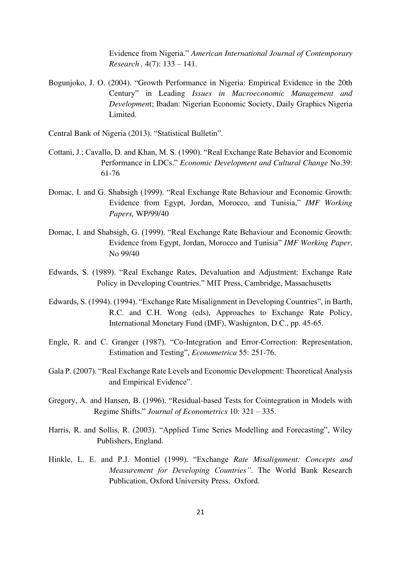Evidence from Nigeria." *American International Journal of Contemporary Research ,* 4(7): 133 – 141.

Bogunjoko, J. O. (2004). "Growth Performance in Nigeria: Empirical Evidence in the 20th Century" in Leading *Issues in Macroeconomic Management and Developmen*t; Ibadan: Nigerian Economic Society, Daily Graphics Nigeria Limited.

Central Bank of Nigeria (2013). "Statistical Bulletin".

- Cottani, J.; Cavallo, D. and Khan, M. S. (1990). "Real Exchange Rate Behavior and Economic Performance in LDCs." *Economic Development and Cultural Change* No.39: 61-76
- Domac, I. and G. Shabsigh (1999). "Real Exchange Rate Behaviour and Economic Growth: Evidence from Egypt, Jordan, Morocco, and Tunisia," *IMF Working Papers,* WP/99/40
- Domac, I. and Shabsigh, G. (1999). "Real Exchange Rate Behaviour and Economic Growth: Evidence from Egypt, Jordan, Morocco and Tunisia" *IMF Working Paper*, No 99/40
- Edwards, S. (1989). "Real Exchange Rates, Devaluation and Adjustment: Exchange Rate Policy in Developing Countries." MIT Press, Cambridge, Massachusetts
- Edwards, S. (1994). (1994). "Exchange Rate Misalignment in Developing Countries", in Barth, R.C. and C.H. Wong (eds), Approaches to Exchange Rate Policy, International Monetary Fund (IMF), Washignton, D.C., pp. 45-65.
- Engle, R. and C. Granger (1987). "Co-Integration and Error-Correction: Representation, Estimation and Testing", *Econometrica* 55: 251-76.
- Gala P. (2007). "Real Exchange Rate Levels and Economic Development: Theoretical Analysis and Empirical Evidence".
- Gregory, A. and Hansen, B. (1996). "Residual-based Tests for Cointegration in Models with Regime Shifts." *Journal of Econometrics* 10: 321 – 335.
- Harris, R. and Sollis, R. (2003). "Applied Time Series Modelling and Forecasting", Wiley Publishers, England.
- Hinkle, L. E. and P.J. Montiel (1999). "Exchange *Rate Misalignment: Concepts and Measurement for Developing Countries"*. The World Bank Research Publication, Oxford University Press. Oxford.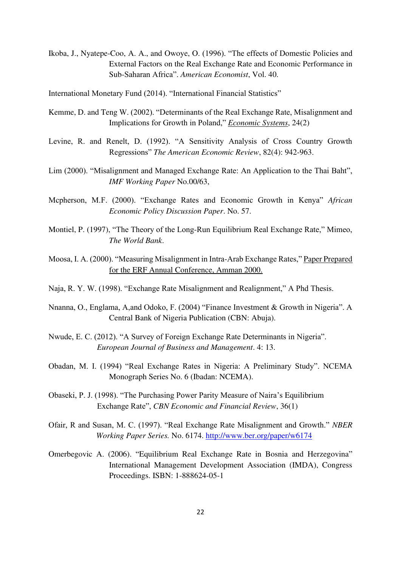Ikoba, J., Nyatepe-Coo, A. A., and Owoye, O. (1996). "The effects of Domestic Policies and External Factors on the Real Exchange Rate and Economic Performance in Sub-Saharan Africa". *American Economist*, Vol. 40.

International Monetary Fund (2014). "International Financial Statistics"

- Kemme, D. and Teng W. (2002). "Determinants of the Real Exchange Rate, Misalignment and Implications for Growth in Poland," *Economic Systems*, 24(2)
- Levine, R. and Renelt, D. (1992). "A Sensitivity Analysis of Cross Country Growth Regressions" *The American Economic Review*, 82(4): 942-963.
- Lim (2000). "Misalignment and Managed Exchange Rate: An Application to the Thai Baht", *IMF Working Paper* No.00/63,
- Mcpherson, M.F. (2000). "Exchange Rates and Economic Growth in Kenya" *African Economic Policy Discussion Paper*. No. 57.
- Montiel, P. (1997), "The Theory of the Long-Run Equilibrium Real Exchange Rate," Mimeo, *The World Bank*.
- Moosa, I. A. (2000). "Measuring Misalignment in Intra-Arab Exchange Rates," Paper Prepared for the ERF Annual Conference, Amman 2000.
- Naja, R. Y. W. (1998). "Exchange Rate Misalignment and Realignment," A Phd Thesis.
- Nnanna, O., Englama, A,and Odoko, F. (2004) "Finance Investment & Growth in Nigeria". A Central Bank of Nigeria Publication (CBN: Abuja).
- Nwude, E. C. (2012). "A Survey of Foreign Exchange Rate Determinants in Nigeria". *European Journal of Business and Management*. 4: 13.
- Obadan, M. I. (1994) "Real Exchange Rates in Nigeria: A Preliminary Study". NCEMA Monograph Series No. 6 (Ibadan: NCEMA).
- Obaseki, P. J. (1998). "The Purchasing Power Parity Measure of Naira's Equilibrium Exchange Rate", *CBN Economic and Financial Review*, 36(1)
- Ofair, R and Susan, M. C. (1997). "Real Exchange Rate Misalignment and Growth." *NBER Working Paper Series.* No. 6174.<http://www.ber.org/paper/w6174>
- Omerbegovic A. (2006). "Equilibrium Real Exchange Rate in Bosnia and Herzegovina" International Management Development Association (IMDA), Congress Proceedings. ISBN: 1-888624-05-1